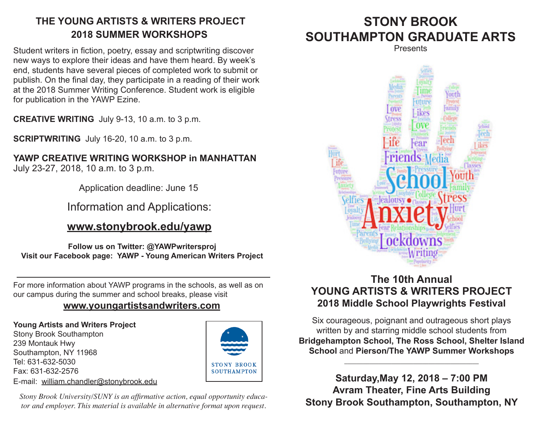## **THE YOUNG ARTISTS & WRITERS PROJECT 2018 SUMMER WORKSHOPS**

Student writers in fiction, poetry, essay and scriptwriting discover new ways to explore their ideas and have them heard. By week's end, students have several pieces of completed work to submit or publish. On the final day, they participate in a reading of their work at the 2018 Summer Writing Conference. Student work is eligible for publication in the YAWP Ezine.

**CREATIVE WRITING** July 9-13, 10 a.m. to 3 p.m.

**SCRIPTWRITING** July 16-20, 10 a.m. to 3 p.m.

**YAWP CREATIVE WRITING WORKSHOP in MANHATTAN** July 23-27, 2018, 10 a.m. to 3 p.m.

Application deadline: June 15

Information and Applications:

## **www.stonybrook.edu/yawp**

**Follow us on Twitter: @YAWPwritersproj Visit our Facebook page: YAWP - Young American Writers Project**

For more information about YAWP programs in the schools, as well as on our campus during the summer and school breaks, please visit

#### **www.youngartistsandwriters.com**

#### **Young Artists and Writers Project**

Stony Brook Southampton 239 Montauk Hwy Southampton, NY 11968 Tel: 631-632-5030 Fax: 631-632-2576 E-mail: william.chandler@stonybrook.edu



*Stony Brook University/SUNY is an affirmative action, equal opportunity educator and employer. This material is available in alternative format upon request.*

# **STONY BROOK SOUTHAMPTON GRADUATE ARTS**

**Presents** 



## **The 10th Annual YOUNG ARTISTS & WRITERS PROJECT 2018 Middle School Playwrights Festival**

Six courageous, poignant and outrageous short plays written by and starring middle school students from **Bridgehampton School, The Ross School, Shelter Island School** and **Pierson/The YAWP Summer Workshops**

\_\_\_\_\_\_\_\_\_\_\_\_\_\_\_\_\_\_\_\_\_\_\_\_\_\_\_\_\_\_\_\_\_\_\_\_\_\_\_\_\_\_\_

**Saturday,May 12, 2018 – 7:00 PM Avram Theater, Fine Arts Building Stony Brook Southampton, Southampton, NY**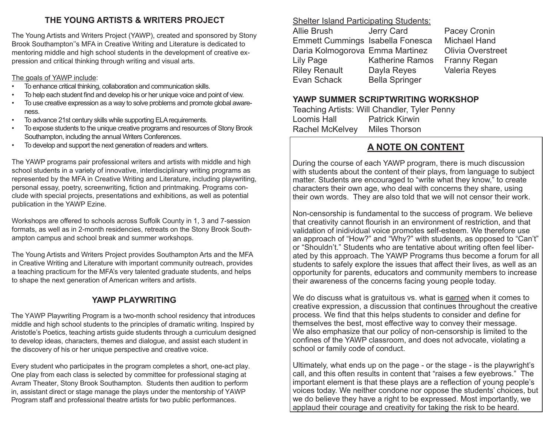#### **THE YOUNG ARTISTS & WRITERS PROJECT**

The Young Artists and Writers Project (YAWP), created and sponsored by Stony Brook Southampton''s MFA in Creative Writing and Literature is dedicated to mentoring middle and high school students in the development of creative expression and critical thinking through writing and visual arts.

The goals of YAWP include:

- To enhance critical thinking, collaboration and communication skills.
- To help each student find and develop his or her unique voice and point of view.
- To use creative expression as a way to solve problems and promote global awareness.
- To advance 21st century skills while supporting ELA requirements.
- To expose students to the unique creative programs and resources of Stony Brook Southampton, including the annual Writers Conferences.
- To develop and support the next generation of readers and writers.

The YAWP programs pair professional writers and artists with middle and high school students in a variety of innovative, interdisciplinary writing programs as represented by the MFA in Creative Writing and Literature, including playwriting, personal essay, poetry, screenwriting, fiction and printmaking. Programs conclude with special projects, presentations and exhibitions, as well as potential publication in the YAWP Ezine.

Workshops are offered to schools across Suffolk County in 1, 3 and 7-session formats, as well as in 2-month residencies, retreats on the Stony Brook Southampton campus and school break and summer workshops.

The Young Artists and Writers Project provides Southampton Arts and the MFA in Creative Writing and Literature with important community outreach, provides a teaching practicum for the MFA's very talented graduate students, and helps to shape the next generation of American writers and artists.

#### **YAWP PLAYWRITING**

The YAWP Playwriting Program is a two-month school residency that introduces middle and high school students to the principles of dramatic writing. Inspired by Aristotle's Poetics, teaching artists guide students through a curriculum designed to develop ideas, characters, themes and dialogue, and assist each student in the discovery of his or her unique perspective and creative voice.

Every student who participates in the program completes a short, one-act play. One play from each class is selected by committee for professional staging at Avram Theater, Stony Brook Southampton. Students then audition to perform in, assistant direct or stage manage the plays under the mentorship of YAWP Program staff and professional theatre artists for two public performances.

Shelter Island Participating Students: Allie Brush Jerry Card Pacey Cronin Emmett Cummings Isabella Fonesca Michael Hand Daria Kolmogorova Emma Martinez Olivia Overstreet Katherine Ramos Franny Regan Riley Renault Dayla Reyes Valeria Reyes Evan Schack Bella Springer

#### **YAWP SUMMER SCRIPTWRITING WORKSHOP**

Teaching Artists: Will Chandler, Tyler Penny **Patrick Kirwin** Rachel McKelvey Miles Thorson

## **A NOTE ON CONTENT**

During the course of each YAWP program, there is much discussion with students about the content of their plays, from language to subject matter. Students are encouraged to "write what they know," to create characters their own age, who deal with concerns they share, using their own words. They are also told that we will not censor their work.

Non-censorship is fundamental to the success of program. We believe that creativity cannot flourish in an environment of restriction, and that validation of inidividual voice promotes self-esteem. We therefore use an approach of "How?" and "Why?" with students, as opposed to "Can't" or "Shouldn't." Students who are tentative about writing often feel liberated by this approach. The YAWP Programs thus become a forum for all students to safely explore the issues that affect their lives, as well as an opportunity for parents, educators and community members to increase their awareness of the concerns facing young people today.

We do discuss what is gratuitous vs. what is earned when it comes to creative expression, a discussion that continues throughout the creative process. We find that this helps students to consider and define for themselves the best, most effective way to convey their message. We also emphasize that our policy of non-censorship is limited to the confines of the YAWP classroom, and does not advocate, violating a school or family code of conduct.

Ultimately, what ends up on the page - or the stage - is the playwright's call, and this often results in content that "raises a few eyebrows." The important element is that these plays are a reflection of young people's voices today. We neither condone nor oppose the students' choices, but we do believe they have a right to be expressed. Most importantly, we applaud their courage and creativity for taking the risk to be heard.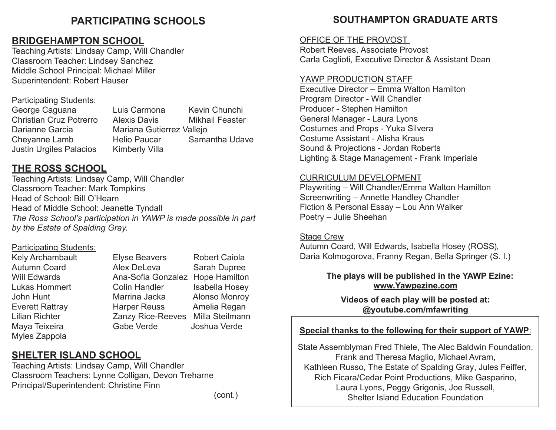## **PARTICIPATING SCHOOLS**

### **BRIDGEHAMPTON SCHOOL**

Teaching Artists: Lindsay Camp, Will Chandler Classroom Teacher: Lindsey Sanchez Middle School Principal: Michael Miller Superintendent: Robert Hauser

#### Participating Students:

Justin Urgiles Palacios Kimberly Villa

George Caguana Luis Carmona Kevin Chunchi Christian Cruz Potrerro Alexis Davis Mikhail Feaster<br>Darianne Garcia Mariana Gutierrez Valleio Mariana Gutierrez Vallejo Cheyanne Lamb Helio Paucar Samantha Udave

## **THE ROSS SCHOOL**

Teaching Artists: Lindsay Camp, Will Chandler Classroom Teacher: Mark Tompkins Head of School: Bill O'Hearn Head of Middle School: Jeanette Tyndall *The Ross School's participation in YAWP is made possible in part by the Estate of Spalding Gray.*

#### Participating Students:

Myles Zappola

Kely Archambault Elyse Beavers Robert Caiola<br>Autumn Coard Alex DeLeva Sarah Dupree Alex DeLeva Sarah Dupree Will Edwards **Ana-Sofia Gonzalez Hope Hamilton** Lukas Hommert Colin Handler Isabella Hosey John Hunt **Marrina Jacka** Alonso Monroy Everett Rattray Harper Reuss Amelia Regan Lilian Richter Zanzy Rice-Reeves Milla Steilmann Maya Teixeira **Gabe Verde** Joshua Verde

## **SHELTER ISLAND SCHOOL**

Teaching Artists: Lindsay Camp, Will Chandler Classroom Teachers: Lynne Colligan, Devon Treharne Principal/Superintendent: Christine Finn

### **SOUTHAMPTON GRADUATE ARTS**

#### OFFICE OF THE PROVOST

Robert Reeves, Associate Provost Carla Caglioti, Executive Director & Assistant Dean

#### YAWP PRODUCTION STAFF

Executive Director – Emma Walton Hamilton Program Director - Will Chandler Producer - Stephen Hamilton General Manager - Laura Lyons Costumes and Props - Yuka Silvera Costume Assistant - Alisha Kraus Sound & Projections - Jordan Roberts Lighting & Stage Management - Frank Imperiale

#### CURRICULUM DEVELOPMENT

Playwriting – Will Chandler/Emma Walton Hamilton Screenwriting – Annette Handley Chandler Fiction & Personal Essay – Lou Ann Walker Poetry – Julie Sheehan

#### Stage Crew

Autumn Coard, Will Edwards, Isabella Hosey (ROSS), Daria Kolmogorova, Franny Regan, Bella Springer (S. I.)

#### **The plays will be published in the YAWP Ezine: www.Yawpezine.com**

**Videos of each play will be posted at: @youtube.com/mfawriting**

#### **Special thanks to the following for their support of YAWP**:

State Assemblyman Fred Thiele, The Alec Baldwin Foundation, Frank and Theresa Maglio, Michael Avram, Kathleen Russo, The Estate of Spalding Gray, Jules Feiffer, Rich Ficara/Cedar Point Productions, Mike Gasparino, Laura Lyons, Peggy Grigonis, Joe Russell, Shelter Island Education Foundation